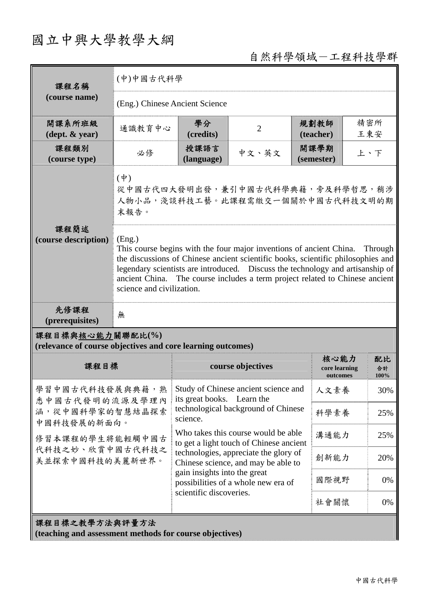## 國立中興大學教學大綱

## 自然科學領域-工程科技學群

| 課程名稱                                                                            | (中)中國古代科學                                                                                                                                                                                                                                                                                                                                                                   |                                                                                                                                                                                                                                       |                |                                   |                  |  |
|---------------------------------------------------------------------------------|-----------------------------------------------------------------------------------------------------------------------------------------------------------------------------------------------------------------------------------------------------------------------------------------------------------------------------------------------------------------------------|---------------------------------------------------------------------------------------------------------------------------------------------------------------------------------------------------------------------------------------|----------------|-----------------------------------|------------------|--|
| (course name)                                                                   | (Eng.) Chinese Ancient Science                                                                                                                                                                                                                                                                                                                                              |                                                                                                                                                                                                                                       |                |                                   |                  |  |
| 開課系所班級<br>$(\text{dept.} \& \text{ year})$                                      | 通識教育中心                                                                                                                                                                                                                                                                                                                                                                      | 學分<br>(credits)                                                                                                                                                                                                                       | $\overline{2}$ | 規劃教師<br>(teacher)                 | 精密所<br>王東安       |  |
| 課程類別<br>(course type)                                                           | 必修                                                                                                                                                                                                                                                                                                                                                                          | 授課語言<br>(language)                                                                                                                                                                                                                    | 中文、英文          | 開課學期<br>(semester)                | 上、下              |  |
| 課程簡述                                                                            | $(\dot{\Psi})$<br>從中國古代四大發明出發,兼引中國古代科學典籍,旁及科學哲思,稍涉<br>人物小品,淺談科技工藝。此課程需繳交一個關於中國古代科技文明的期<br>末報告。                                                                                                                                                                                                                                                                              |                                                                                                                                                                                                                                       |                |                                   |                  |  |
| (course description)                                                            | (Eng.)<br>This course begins with the four major inventions of ancient China.<br>Through<br>the discussions of Chinese ancient scientific books, scientific philosophies and<br>legendary scientists are introduced. Discuss the technology and artisanship of<br>ancient China. The course includes a term project related to Chinese ancient<br>science and civilization. |                                                                                                                                                                                                                                       |                |                                   |                  |  |
| 先修課程<br>(prerequisites)                                                         | 無                                                                                                                                                                                                                                                                                                                                                                           |                                                                                                                                                                                                                                       |                |                                   |                  |  |
| 課程目標與核心能力關聯配比(%)<br>(relevance of course objectives and core learning outcomes) |                                                                                                                                                                                                                                                                                                                                                                             |                                                                                                                                                                                                                                       |                |                                   |                  |  |
| 課程目標                                                                            |                                                                                                                                                                                                                                                                                                                                                                             | course objectives                                                                                                                                                                                                                     |                | 核心能力<br>core learning<br>outcomes | 配比<br>合計<br>100% |  |
| 學習中國古代科技發展與典籍,熟<br>悉中國古代發明的流源及學理內                                               |                                                                                                                                                                                                                                                                                                                                                                             | Study of Chinese ancient science and<br>its great books. Learn the<br>technological background of Chinese<br>science.                                                                                                                 |                | 人文素養                              | 30%              |  |
| 涵,從中國科學家的智慧結晶探索<br>中國科技發展的新面向。                                                  |                                                                                                                                                                                                                                                                                                                                                                             |                                                                                                                                                                                                                                       |                | 科學素養                              | 25%              |  |
| 修習本課程的學生將能輕觸中國古                                                                 |                                                                                                                                                                                                                                                                                                                                                                             | Who takes this course would be able<br>to get a light touch of Chinese ancient<br>technologies, appreciate the glory of<br>Chinese science, and may be able to<br>gain insights into the great<br>possibilities of a whole new era of |                | 溝通能力                              | 25%              |  |
| 代科技之妙、欣賞中國古代科技之<br>美並探索中國科技的美麗新世界。                                              |                                                                                                                                                                                                                                                                                                                                                                             |                                                                                                                                                                                                                                       |                | 創新能力                              | 20%              |  |
|                                                                                 |                                                                                                                                                                                                                                                                                                                                                                             |                                                                                                                                                                                                                                       |                | 國際視野                              | 0%               |  |
|                                                                                 |                                                                                                                                                                                                                                                                                                                                                                             | scientific discoveries.                                                                                                                                                                                                               |                | 社會關懷                              | 0%               |  |
| 課程目標之教學方法與評量方法                                                                  |                                                                                                                                                                                                                                                                                                                                                                             |                                                                                                                                                                                                                                       |                |                                   |                  |  |

**(teaching and assessment methods for course objectives)**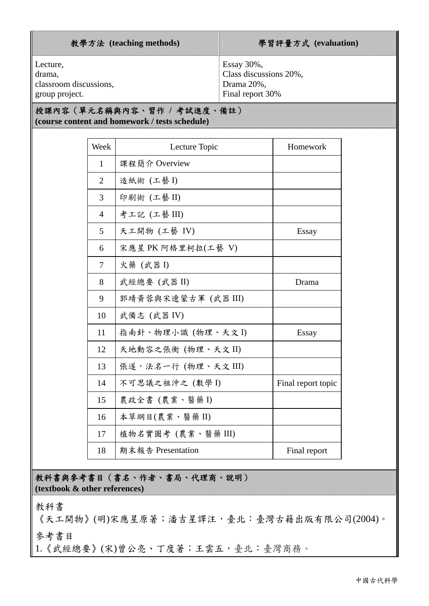| 教學方法 (teaching methods) | 學習評量方式 (evaluation)    |
|-------------------------|------------------------|
| Lecture,                | Essay $30\%$ ,         |
| drama,                  | Class discussions 20%, |
| classroom discussions,  | Drama 20%,             |
| group project.          | Final report 30%       |

## 授課內容(單元名稱與內容、習作 **/** 考試進度、備註) **(course content and homework / tests schedule)**

| Week           | Lecture Topic       | Homework           |
|----------------|---------------------|--------------------|
| $\mathbf{1}$   | 課程簡介 Overview       |                    |
| $\overline{2}$ | 造紙術 (工藝 I)          |                    |
| 3              | 印刷術 (工藝II)          |                    |
| $\overline{4}$ | 考工記 (工藝III)         |                    |
| 5              | 天工開物 (工藝 IV)        | Essay              |
| 6              | 宋應星 PK 阿格里柯拉(工藝 V)  |                    |
| $\overline{7}$ | 火藥 (武器 I)           |                    |
| 8              | 武經總要 (武器 II)        | Drama              |
| 9              | 郭靖黃蓉與宋遼蒙古軍 (武器 III) |                    |
| 10             | 武備志 (武器 IV)         |                    |
| 11             | 指南針、物理小識 (物理、天文 I)  | Essay              |
| 12             | 天地動容之張衡 (物理、天文 II)  |                    |
| 13             | 張遂,法名一行 (物理、天文 III) |                    |
| 14             | 不可思議之祖沖之 (數學 I)     | Final report topic |
| 15             | 農政全書(農業、醫藥I)        |                    |
| 16             | 本草綱目(農業、醫藥II)       |                    |
| 17             | 植物名實圖考(農業、醫藥III)    |                    |
| 18             | 期末報告 Presentation   | Final report       |

教科書與參考書目(書名、作者、書局、代理商、說明) **(textbook & other references)**

教科書

《天工開物》(明)宋應星原著;潘吉星譯注,臺北:臺灣古籍出版有限公司(2004)。

參考書目

1.《武經總要》(宋)曾公亮、丁度著;王雲五,臺北:臺灣商務。